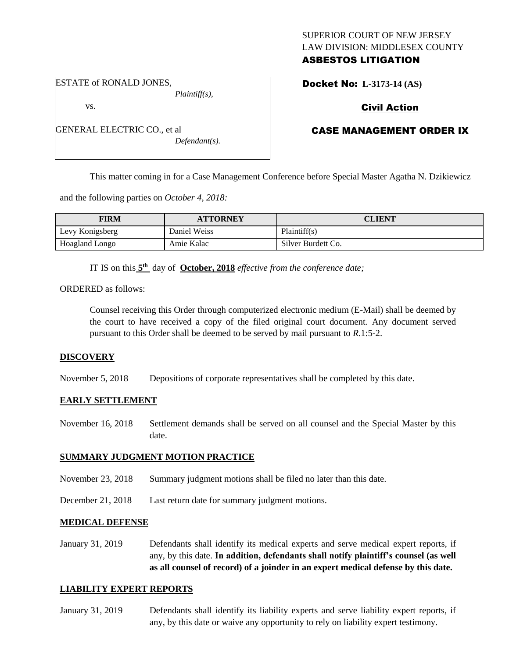## SUPERIOR COURT OF NEW JERSEY LAW DIVISION: MIDDLESEX COUNTY ASBESTOS LITIGATION

ESTATE of RONALD JONES,

GENERAL ELECTRIC CO., et al

vs.

*Plaintiff(s),*

*Defendant(s).*

Docket No: **L-3173-14 (AS)** 

# Civil Action

# CASE MANAGEMENT ORDER IX

This matter coming in for a Case Management Conference before Special Master Agatha N. Dzikiewicz

and the following parties on *October 4, 2018:*

| FIRM            | <b>ATTORNEY</b> | CLIENT             |
|-----------------|-----------------|--------------------|
| Levy Konigsberg | Daniel Weiss    | Plaintiff(s)       |
| Hoagland Longo  | Amie Kalac      | Silver Burdett Co. |

IT IS on this  $5<sup>th</sup>$  day of **October, 2018** *effective from the conference date*;

ORDERED as follows:

Counsel receiving this Order through computerized electronic medium (E-Mail) shall be deemed by the court to have received a copy of the filed original court document. Any document served pursuant to this Order shall be deemed to be served by mail pursuant to *R*.1:5-2.

### **DISCOVERY**

November 5, 2018 Depositions of corporate representatives shall be completed by this date.

### **EARLY SETTLEMENT**

November 16, 2018 Settlement demands shall be served on all counsel and the Special Master by this date.

### **SUMMARY JUDGMENT MOTION PRACTICE**

- November 23, 2018 Summary judgment motions shall be filed no later than this date.
- December 21, 2018 Last return date for summary judgment motions.

### **MEDICAL DEFENSE**

January 31, 2019 Defendants shall identify its medical experts and serve medical expert reports, if any, by this date. **In addition, defendants shall notify plaintiff's counsel (as well as all counsel of record) of a joinder in an expert medical defense by this date.**

### **LIABILITY EXPERT REPORTS**

January 31, 2019 Defendants shall identify its liability experts and serve liability expert reports, if any, by this date or waive any opportunity to rely on liability expert testimony.